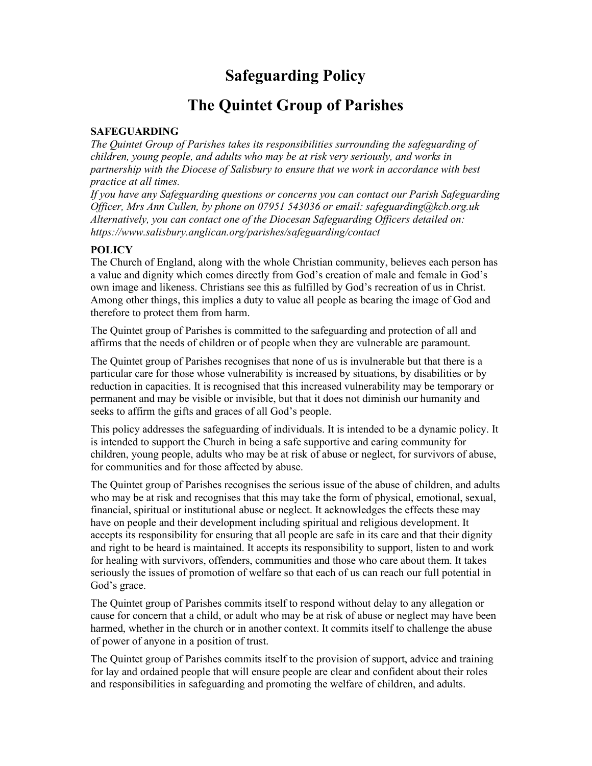# Safeguarding Policy

# The Quintet Group of Parishes

#### SAFEGUARDING

The Quintet Group of Parishes takes its responsibilities surrounding the safeguarding of children, young people, and adults who may be at risk very seriously, and works in partnership with the Diocese of Salisbury to ensure that we work in accordance with best practice at all times.

If you have any Safeguarding questions or concerns you can contact our Parish Safeguarding Officer, Mrs Ann Cullen, by phone on 07951 543036 or email: safeguarding@kcb.org.uk Alternatively, you can contact one of the Diocesan Safeguarding Officers detailed on: https://www.salisbury.anglican.org/parishes/safeguarding/contact

## **POLICY**

The Church of England, along with the whole Christian community, believes each person has a value and dignity which comes directly from God's creation of male and female in God's own image and likeness. Christians see this as fulfilled by God's recreation of us in Christ. Among other things, this implies a duty to value all people as bearing the image of God and therefore to protect them from harm.

The Quintet group of Parishes is committed to the safeguarding and protection of all and affirms that the needs of children or of people when they are vulnerable are paramount.

The Quintet group of Parishes recognises that none of us is invulnerable but that there is a particular care for those whose vulnerability is increased by situations, by disabilities or by reduction in capacities. It is recognised that this increased vulnerability may be temporary or permanent and may be visible or invisible, but that it does not diminish our humanity and seeks to affirm the gifts and graces of all God's people.

This policy addresses the safeguarding of individuals. It is intended to be a dynamic policy. It is intended to support the Church in being a safe supportive and caring community for children, young people, adults who may be at risk of abuse or neglect, for survivors of abuse, for communities and for those affected by abuse.

The Quintet group of Parishes recognises the serious issue of the abuse of children, and adults who may be at risk and recognises that this may take the form of physical, emotional, sexual, financial, spiritual or institutional abuse or neglect. It acknowledges the effects these may have on people and their development including spiritual and religious development. It accepts its responsibility for ensuring that all people are safe in its care and that their dignity and right to be heard is maintained. It accepts its responsibility to support, listen to and work for healing with survivors, offenders, communities and those who care about them. It takes seriously the issues of promotion of welfare so that each of us can reach our full potential in God's grace.

The Quintet group of Parishes commits itself to respond without delay to any allegation or cause for concern that a child, or adult who may be at risk of abuse or neglect may have been harmed, whether in the church or in another context. It commits itself to challenge the abuse of power of anyone in a position of trust.

The Quintet group of Parishes commits itself to the provision of support, advice and training for lay and ordained people that will ensure people are clear and confident about their roles and responsibilities in safeguarding and promoting the welfare of children, and adults.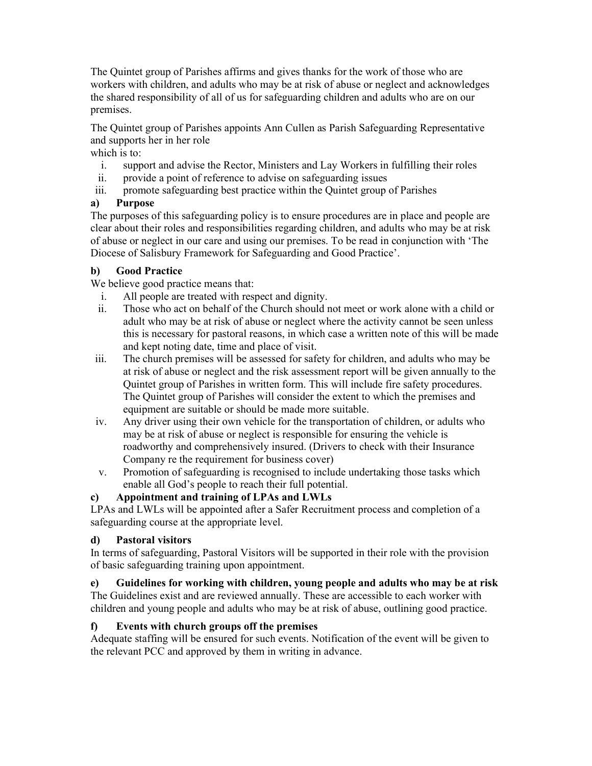The Quintet group of Parishes affirms and gives thanks for the work of those who are workers with children, and adults who may be at risk of abuse or neglect and acknowledges the shared responsibility of all of us for safeguarding children and adults who are on our premises.

The Quintet group of Parishes appoints Ann Cullen as Parish Safeguarding Representative and supports her in her role

which is to:

- i. support and advise the Rector, Ministers and Lay Workers in fulfilling their roles
- ii. provide a point of reference to advise on safeguarding issues
- iii. promote safeguarding best practice within the Quintet group of Parishes

## a) Purpose

The purposes of this safeguarding policy is to ensure procedures are in place and people are clear about their roles and responsibilities regarding children, and adults who may be at risk of abuse or neglect in our care and using our premises. To be read in conjunction with 'The Diocese of Salisbury Framework for Safeguarding and Good Practice'.

#### b) Good Practice

We believe good practice means that:

- i. All people are treated with respect and dignity.
- ii. Those who act on behalf of the Church should not meet or work alone with a child or adult who may be at risk of abuse or neglect where the activity cannot be seen unless this is necessary for pastoral reasons, in which case a written note of this will be made and kept noting date, time and place of visit.
- iii. The church premises will be assessed for safety for children, and adults who may be at risk of abuse or neglect and the risk assessment report will be given annually to the Quintet group of Parishes in written form. This will include fire safety procedures. The Quintet group of Parishes will consider the extent to which the premises and equipment are suitable or should be made more suitable.
- iv. Any driver using their own vehicle for the transportation of children, or adults who may be at risk of abuse or neglect is responsible for ensuring the vehicle is roadworthy and comprehensively insured. (Drivers to check with their Insurance Company re the requirement for business cover)
- v. Promotion of safeguarding is recognised to include undertaking those tasks which enable all God's people to reach their full potential.

## c) Appointment and training of LPAs and LWLs

LPAs and LWLs will be appointed after a Safer Recruitment process and completion of a safeguarding course at the appropriate level.

## d) Pastoral visitors

In terms of safeguarding, Pastoral Visitors will be supported in their role with the provision of basic safeguarding training upon appointment.

## e) Guidelines for working with children, young people and adults who may be at risk

The Guidelines exist and are reviewed annually. These are accessible to each worker with children and young people and adults who may be at risk of abuse, outlining good practice.

## f) Events with church groups off the premises

Adequate staffing will be ensured for such events. Notification of the event will be given to the relevant PCC and approved by them in writing in advance.